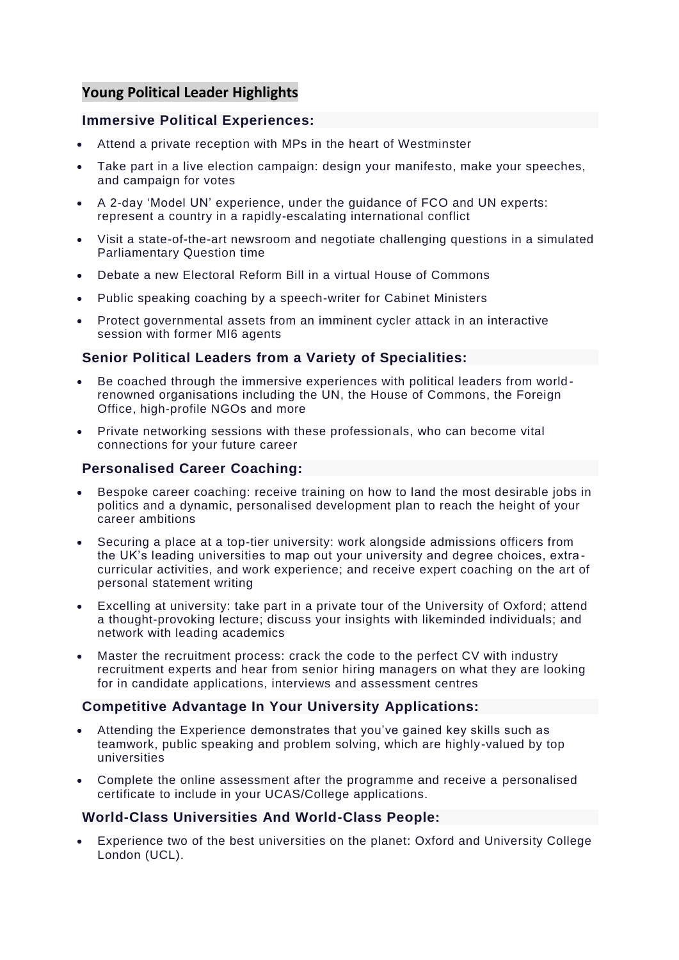# **Young Political Leader Highlights**

## **Immersive Political Experiences:**

- Attend a private reception with MPs in the heart of Westminster
- Take part in a live election campaign: design your manifesto, make your speeches, and campaign for votes
- A 2-day 'Model UN' experience, under the guidance of FCO and UN experts: represent a country in a rapidly-escalating international conflict
- Visit a state-of-the-art newsroom and negotiate challenging questions in a simulated Parliamentary Question time
- Debate a new Electoral Reform Bill in a virtual House of Commons
- Public speaking coaching by a speech-writer for Cabinet Ministers
- Protect governmental assets from an imminent cycler attack in an interactive session with former MI6 agents

## **Senior Political Leaders from a Variety of Specialities:**

- Be coached through the immersive experiences with political leaders from world renowned organisations including the UN, the House of Commons, the Foreign Office, high-profile NGOs and more
- Private networking sessions with these professionals, who can become vital connections for your future career

## **Personalised Career Coaching:**

- Bespoke career coaching: receive training on how to land the most desirable jobs in politics and a dynamic, personalised development plan to reach the height of your career ambitions
- Securing a place at a top-tier university: work alongside admissions officers from the UK's leading universities to map out your university and degree choices, extra curricular activities, and work experience; and receive expert coaching on the art of personal statement writing
- Excelling at university: take part in a private tour of the University of Oxford; attend a thought-provoking lecture; discuss your insights with likeminded individuals; and network with leading academics
- Master the recruitment process: crack the code to the perfect CV with industry recruitment experts and hear from senior hiring managers on what they are looking for in candidate applications, interviews and assessment centres

#### **Competitive Advantage In Your University Applications:**

- Attending the Experience demonstrates that you've gained key skills such as teamwork, public speaking and problem solving, which are highly-valued by top universities
- Complete the online assessment after the programme and receive a personalised certificate to include in your UCAS/College applications.

#### **World-Class Universities And World-Class People:**

• Experience two of the best universities on the planet: Oxford and University College London (UCL).